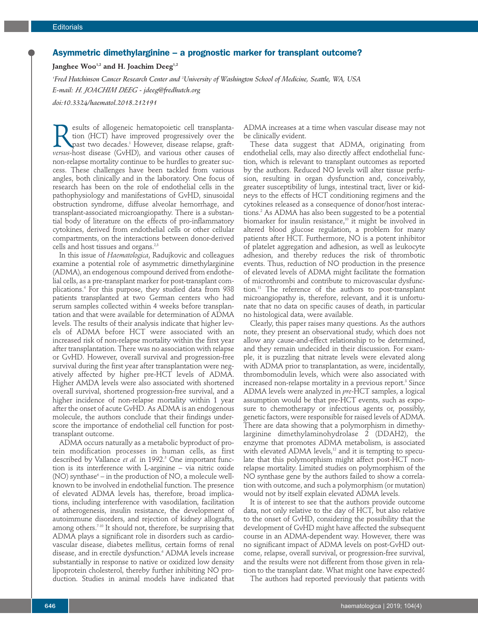## **Asymmetric dimethylarginine – a prognostic marker for transplant outcome?**

## **Janghee Woo1,2 and H. Joachim Deeg1,2**

*1 Fred Hutchinson Cancer Research Center and 2 University of Washington School of Medicine, Seattle, WA, USA E-mail: H. JOACHIM DEEG - jdeeg@fredhutch.org*

*doi:10.3324/haematol.2018.212191*

**Results of allogeneic hematopoietic cell transplantation** (HCT) have improved progressively over the past two decades.<sup>1</sup> However, disease relapse, graft-<br>versus-host disease (GvHD), and various other causes of tion (HCT) have improved progressively over the past two decades.1 However, disease relapse, graft*versus*-host disease (GvHD), and various other causes of non-relapse mortality continue to be hurdles to greater success. These challenges have been tackled from various angles, both clinically and in the laboratory. One focus of research has been on the role of endothelial cells in the pathophysiology and manifestations of GvHD, sinusoidal obstruction syndrome, diffuse alveolar hemorrhage, and transplant-associated microangiopathy. There is a substantial body of literature on the effects of pro-inflammatory cytokines, derived from endothelial cells or other cellular compartments, on the interactions between donor-derived cells and host tissues and organs.<sup>2,3</sup>

In this issue of *Haematologica*, Radujkovic and colleagues examine a potential role of asymmetric dimethylarginine (ADMA), an endogenous compound derived from endothelial cells, as a pre-transplant marker for post-transplant complications.4 For this purpose, they studied data from 938 patients transplanted at two German centers who had serum samples collected within 4 weeks before transplantation and that were available for determination of ADMA levels. The results of their analysis indicate that higher levels of ADMA before HCT were associated with an increased risk of non-relapse mortality within the first year after transplantation. There was no association with relapse or GvHD. However, overall survival and progression-free survival during the first year after transplantation were negatively affected by higher pre-HCT levels of ADMA. Higher AMDA levels were also associated with shortened overall survival, shortened progression-free survival, and a higher incidence of non-relapse mortality within 1 year after the onset of acute GvHD. As ADMA is an endogenous molecule, the authors conclude that their findings underscore the importance of endothelial cell function for posttransplant outcome.

ADMA occurs naturally as a metabolic byproduct of protein modification processes in human cells, as first described by Vallance et al. in 1992.<sup>5</sup> One important function is its interference with L-arginine – via nitric oxide (NO) synthase $6 -$  in the production of NO, a molecule wellknown to be involved in endothelial function. The presence of elevated ADMA levels has, therefore, broad implications, including interference with vasodilation, facilitation of atherogenesis, insulin resistance, the development of autoimmune disorders, and rejection of kidney allografts, among others.<sup>7-10</sup> It should not, therefore, be surprising that ADMA plays a significant role in disorders such as cardiovascular disease, diabetes mellitus, certain forms of renal disease, and in erectile dysfunction.<sup>6</sup> ADMA levels increase substantially in response to native or oxidized low density lipoprotein cholesterol, thereby further inhibiting NO production. Studies in animal models have indicated that

ADMA increases at a time when vascular disease may not be clinically evident.

These data suggest that ADMA, originating from endothelial cells, may also directly affect endothelial function, which is relevant to transplant outcomes as reported by the authors. Reduced NO levels will alter tissue perfusion, resulting in organ dysfunction and, conceivably, greater susceptibility of lungs, intestinal tract, liver or kidneys to the effects of HCT conditioning regimens and the cytokines released as a consequence of donor/host interactions.2 As ADMA has also been suggested to be a potential biomarker for insulin resistance,<sup>10</sup> it might be involved in altered blood glucose regulation, a problem for many patients after HCT. Furthermore, NO is a potent inhibitor of platelet aggregation and adhesion, as well as leukocyte adhesion, and thereby reduces the risk of thrombotic events. Thus, reduction of NO production in the presence of elevated levels of ADMA might facilitate the formation of microthrombi and contribute to microvascular dysfunction.11 The reference of the authors to post-transplant microangiopathy is, therefore, relevant, and it is unfortunate that no data on specific causes of death, in particular no histological data, were available.

Clearly, this paper raises many questions. As the authors note, they present an observational study, which does not allow any cause-and-effect relationship to be determined, and they remain undecided in their discussion. For example, it is puzzling that nitrate levels were elevated along with ADMA prior to transplantation, as were, incidentally, thrombomodulin levels, which were also associated with increased non-relapse mortality in a previous report.<sup>3</sup> Since ADMA levels were analyzed in *pre*-HCT samples, a logical assumption would be that pre-HCT events, such as exposure to chemotherapy or infectious agents or, possibly, genetic factors, were responsible for raised levels of ADMA. There are data showing that a polymorphism in dimethylarginine dimethylaminohydrolase 2 (DDAH2), the enzyme that promotes ADMA metabolism, is associated with elevated ADMA levels,<sup>12</sup> and it is tempting to speculate that this polymorphism might affect post-HCT nonrelapse mortality. Limited studies on polymorphism of the NO synthase gene by the authors failed to show a correlation with outcome, and such a polymorphism (or mutation) would not by itself explain elevated ADMA levels.

It is of interest to see that the authors provide outcome data, not only relative to the day of HCT, but also relative to the onset of GvHD, considering the possibility that the development of GvHD might have affected the subsequent course in an ADMA-dependent way. However, there was no significant impact of ADMA levels on post-GvHD outcome, relapse, overall survival, or progression-free survival, and the results were not different from those given in relation to the transplant date. What might one have expected?

The authors had reported previously that patients with